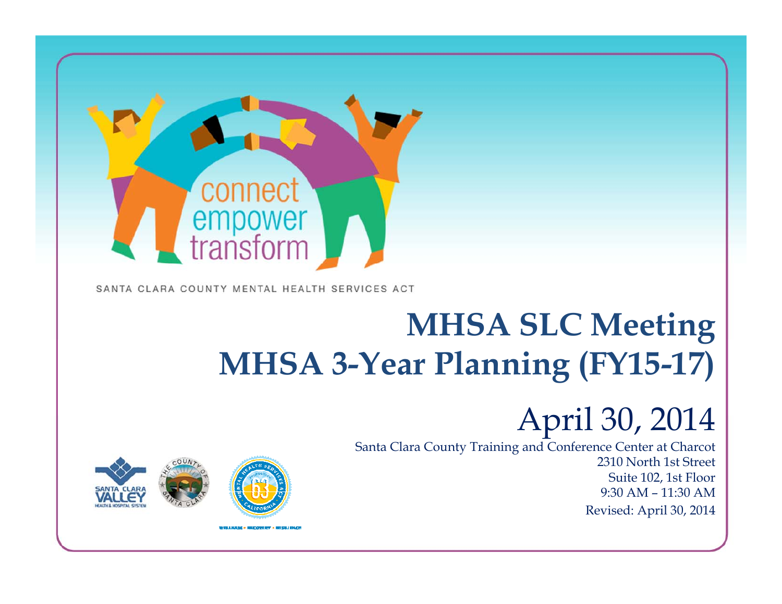

SANTA CLARA COUNTY MENTAL HEALTH SERVICES ACT

# **MHSA SLC Meetin g MHSA 3-Year Planning (FY15-17)**

## April 30*,* 2014

1

Santa Clara County Training and Conference Center at Charcot 2310 North 1st StreetSuite 102, 1st Floor 9:30 AM – 11:30 AM Revised: April 30, 2014

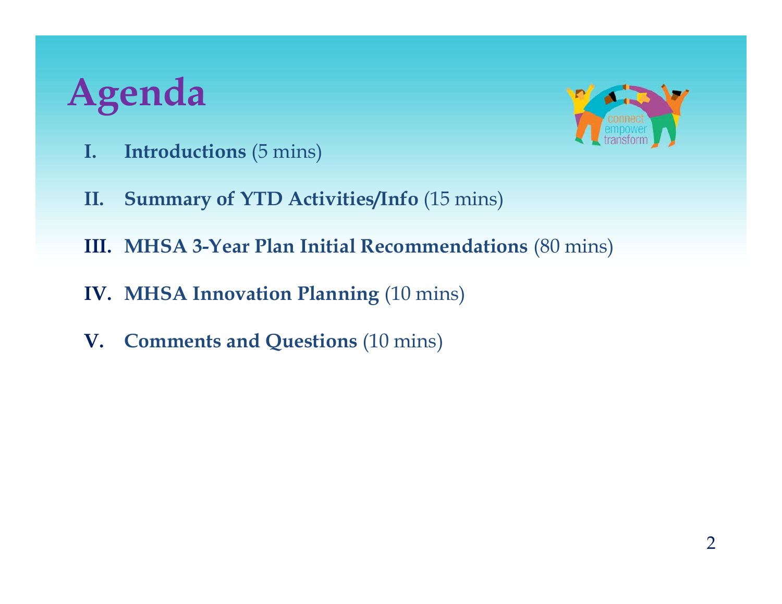# **Agenda**



- **I. Introductions** (5 mins)
- **II. Summary of YTD Activities/Info** (15 mins)
- **III. MHSA 3-Year Plan Initial Recommendations** (80 mins)
- **IV. MHSA Innovation Planning** (10 mins)
- **V. Comments and Questions** (10 mins)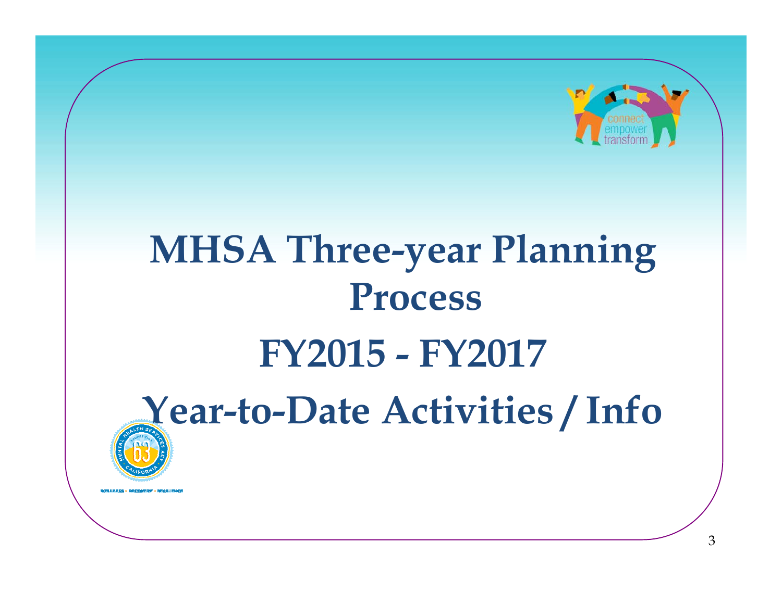

# **MHSA Three-y g ear Plannin Process FY2015 - FY2017Year -to -Date Activities / Info**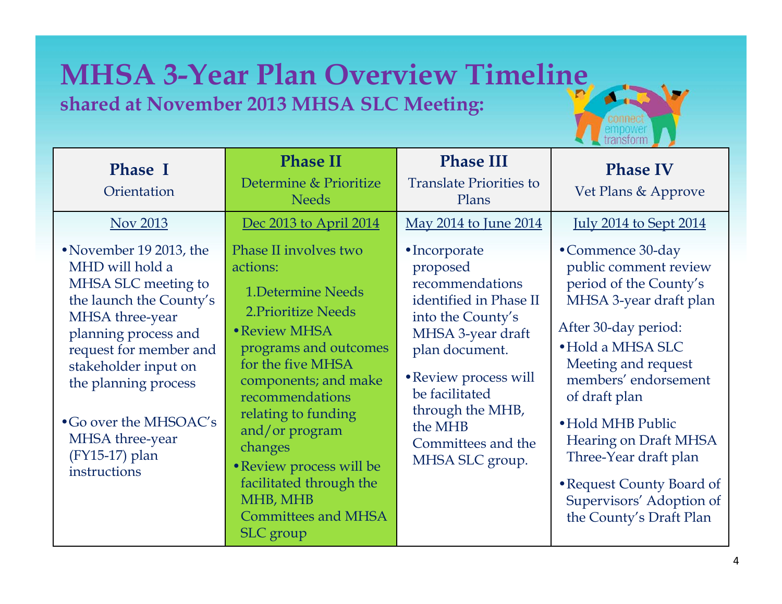#### **MHSA 3-Year Plan Overview Timeline shared at November 2013 MHSA SLC Meetin g:**



| <b>Phase I</b><br>Orientation                                                                                                                                                                                                                                                                    | <b>Phase II</b><br>Determine & Prioritize<br><b>Needs</b>                                                                                                                                                                                                                                                                                                               | <b>Phase III</b><br><b>Translate Priorities to</b><br>Plans                                                                                                                                                                                           | <b>Phase IV</b><br>Vet Plans & Approve                                                                                                                                                                                                                                                                                                                                       |
|--------------------------------------------------------------------------------------------------------------------------------------------------------------------------------------------------------------------------------------------------------------------------------------------------|-------------------------------------------------------------------------------------------------------------------------------------------------------------------------------------------------------------------------------------------------------------------------------------------------------------------------------------------------------------------------|-------------------------------------------------------------------------------------------------------------------------------------------------------------------------------------------------------------------------------------------------------|------------------------------------------------------------------------------------------------------------------------------------------------------------------------------------------------------------------------------------------------------------------------------------------------------------------------------------------------------------------------------|
| Nov 2013                                                                                                                                                                                                                                                                                         | Dec 2013 to April 2014                                                                                                                                                                                                                                                                                                                                                  | May 2014 to June 2014                                                                                                                                                                                                                                 | <u>July 2014 to Sept 2014</u>                                                                                                                                                                                                                                                                                                                                                |
| • November 19 2013, the<br>MHD will hold a<br>MHSA SLC meeting to<br>the launch the County's<br>MHSA three-year<br>planning process and<br>request for member and<br>stakeholder input on<br>the planning process<br>• Go over the MHSOAC's<br>MHSA three-year<br>(FY15-17) plan<br>instructions | Phase II involves two<br>actions:<br><b>1.Determine Needs</b><br>2. Prioritize Needs<br>• Review MHSA<br>programs and outcomes<br>for the five MHSA<br>components; and make<br>recommendations<br>relating to funding<br>and/or program<br>changes<br>• Review process will be<br>facilitated through the<br>MHB, MHB<br><b>Committees and MHSA</b><br><b>SLC</b> group | • Incorporate<br>proposed<br>recommendations<br>identified in Phase II<br>into the County's<br>MHSA 3-year draft<br>plan document.<br>• Review process will<br>be facilitated<br>through the MHB,<br>the MHB<br>Committees and the<br>MHSA SLC group. | •Commence 30-day<br>public comment review<br>period of the County's<br>MHSA 3-year draft plan<br>After 30-day period:<br>• Hold a MHSA SLC<br>Meeting and request<br>members' endorsement<br>of draft plan<br>• Hold MHB Public<br><b>Hearing on Draft MHSA</b><br>Three-Year draft plan<br>• Request County Board of<br>Supervisors' Adoption of<br>the County's Draft Plan |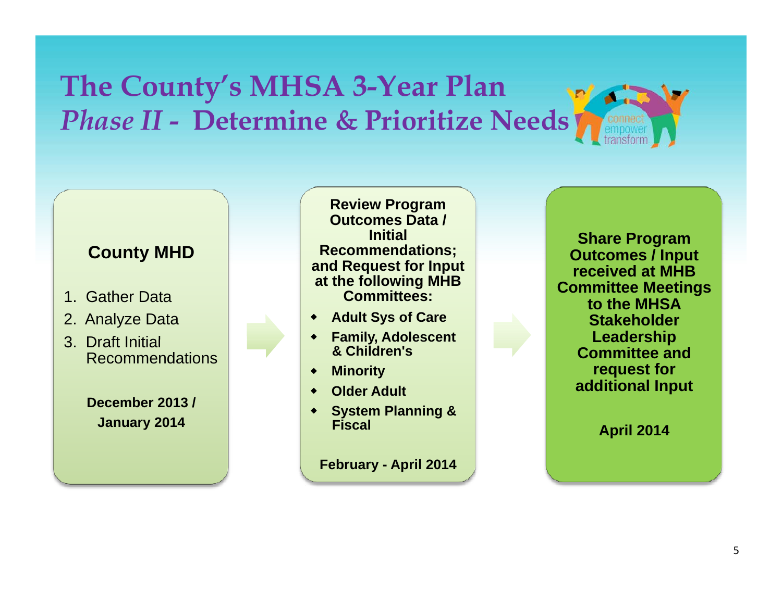#### **The County's MHSA 3-Year Plan**  *Phase II - Determine & Prioritize Needs*

#### **County MHD**

- 1. Gather Data
- 2. Analyze Data
- 3. Draft Initial Recommendations

**December 2013 /**

**Review Program Outcomes Data / Initial Recommendations; and Request for Input for at the following MHB Committees:**

- **Adult Sys of Care**
- **Family Adolescent Family, Adolescent& Children's**
- **Minority**
- **Older Adult**
- **System Pl annin g &January 2014 Syste <sup>a</sup> Fiscal**

**February - April 2014**

**Share Program Outcomes / Input received at MHB Committee Meetings to the MHSA Stakeholder Leadership Committee and request for additional Input**

**April 2014**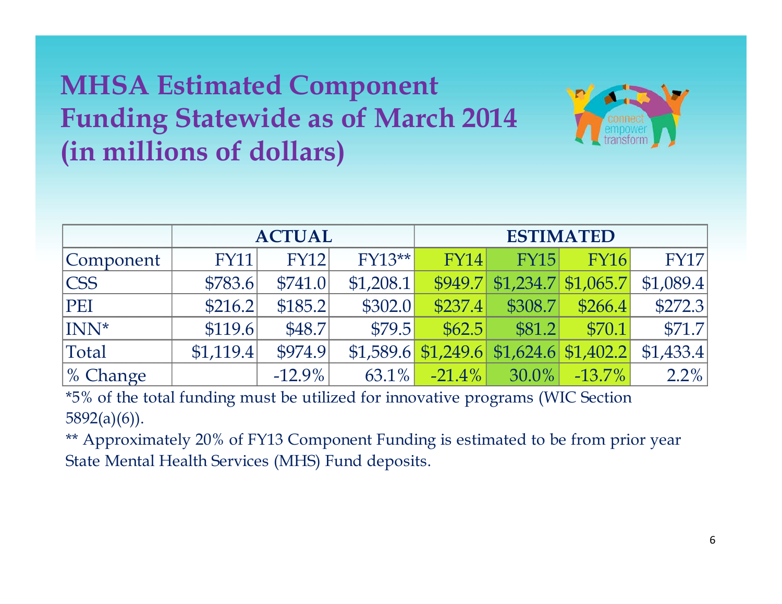#### **MHSA Estimated Component <sup>F</sup> di St <sup>t</sup> id f M h 2014 Funding a tewid e as of March (in millions of dollars)**



|                      | <b>ACTUAL</b> |             |           |             |                           | <b>ESTIMATED</b> |                                                        |
|----------------------|---------------|-------------|-----------|-------------|---------------------------|------------------|--------------------------------------------------------|
| Component            | <b>FY11</b>   | <b>FY12</b> | $FY13**$  | <b>FY14</b> | <b>FY15</b>               | <b>FY16</b>      | <b>FY17</b>                                            |
| $\mathsf{CCSS}$      | \$783.6       | \$741.0     | \$1,208.1 |             |                           |                  | $ $949.7$$ $ $1,234.7$$ $$1,065.7$$ $$1,089.4$$        |
| PEI                  | \$216.2       | \$185.2     | \$302.0   | \$237.4     |                           | $$308.7$ \$266.4 | \$272.3                                                |
| INN <sup>*</sup>     | \$119.6       | \$48.7      | \$79.5    | \$62.5      | \$81.2                    | \$70.1           | \$71.7                                                 |
| Total                | \$1,119.4     | \$974.9     |           |             |                           |                  | $$1,589.6$ $$1,249.6$ $$1,624.6$ $$1,402.2$ $$1,433.4$ |
| $\frac{9}{6}$ Change |               | $-12.9\%$   | $63.1\%$  |             | $-21.4\%$ 30.0% $-13.7\%$ |                  | $2.2\%$                                                |

\*5% of the total funding must be utilized for innovative programs (WIC Section 5892(a)(6)).

\*\* Approximately 20% of FY13 Component Funding is estimated to be from prior year State Mental Health Services (MHS) Fund de posits.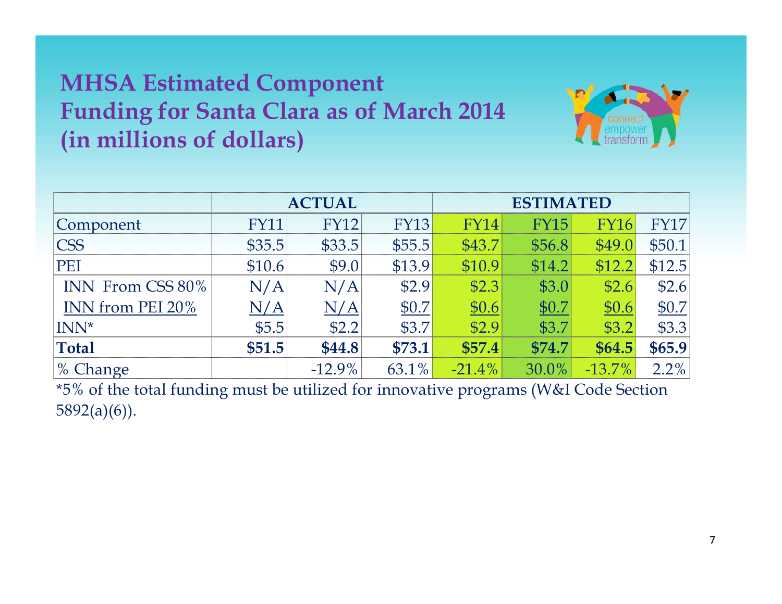#### **MHSA Estimated Component Funding for Santa Clara as of March 2014 (in millions of dollars)**



|                  | <b>ACTUAL</b> |             |             | <b>ESTIMATED</b> |             |             |             |
|------------------|---------------|-------------|-------------|------------------|-------------|-------------|-------------|
| Component        | <b>FY11</b>   | <b>FY12</b> | <b>FY13</b> | <b>FY14</b>      | <b>FY15</b> | <b>FY16</b> | <b>FY17</b> |
| <b>CSS</b>       | \$35.5        | \$33.5      | \$55.5      | \$43.7           | \$56.8      | \$49.0      | \$50.1      |
| PEI              | \$10.6        | \$9.0       | \$13.9      | \$10.9           | \$14.2      | \$12.2      | \$12.5      |
| INN From CSS 80% | N/A           | N/A         | \$2.9       | \$2.3            | \$3.0       | \$2.6       | \$2.6       |
| INN from PEI 20% | N/A           | N/A         | \$0.7       | \$0.6            | \$0.7       | \$0.6       | \$0.7       |
| INN*             | \$5.5         | \$2.2       | \$3.7       | \$2.9            | \$3.7       | \$3.2       | \$3.3       |
| <b>Total</b>     | \$51.5        | \$44.8      | \$73.1      | \$57.4           | \$74.7      | \$64.5      | \$65.9      |
| $\%$ Change      |               | $-12.9\%$   | 63.1%       | $-21.4%$         | 30.0%       | $-13.7\%$   | 2.2%        |

\*5% of the total funding must be utilized for innovative programs (W&I Code Section 5892(a)(6)).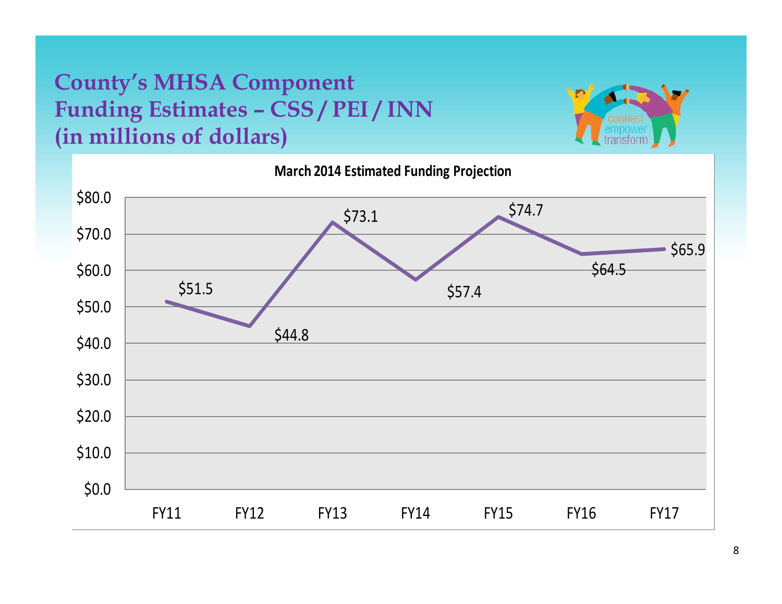#### **County's MHSA Component Funding Estimates – CSS / PEI / INN (in millions of dollars)**



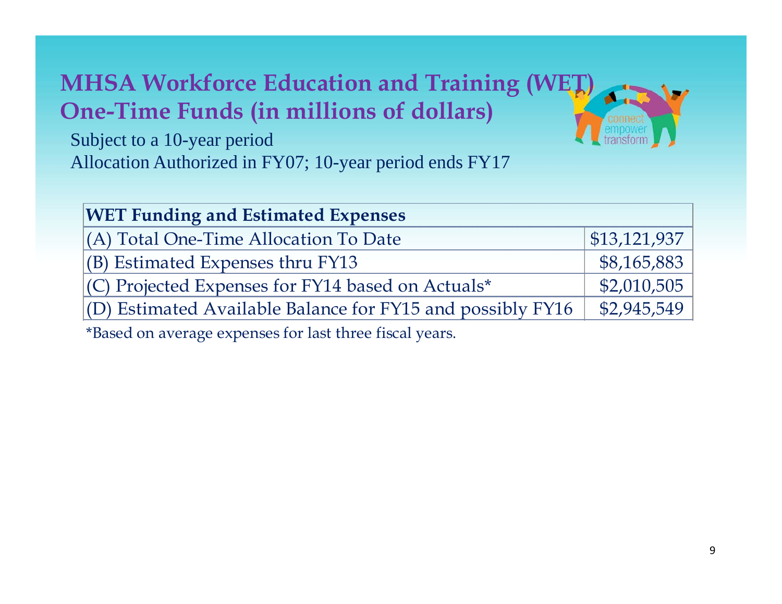#### **MHSA Workforce Education and Training (WET) One -Time Funds (in millions of dollars)**



Subject to a 10-year period Allocation Authorized in FY07; 10-year period ends FY17

| <b>WET Funding and Estimated Expenses</b>                      |                              |  |  |  |
|----------------------------------------------------------------|------------------------------|--|--|--|
| (A) Total One-Time Allocation To Date                          | $\vert$ \$13,121,937 $\vert$ |  |  |  |
| $ $ (B) Estimated Expenses thru FY13                           | \$8,165,883                  |  |  |  |
| $(C)$ Projected Expenses for FY14 based on Actuals*            | \$2,010,505                  |  |  |  |
| $ $ (D) Estimated Available Balance for FY15 and possibly FY16 | \$2,945,549                  |  |  |  |

\*Based on average expenses for last three fiscal years.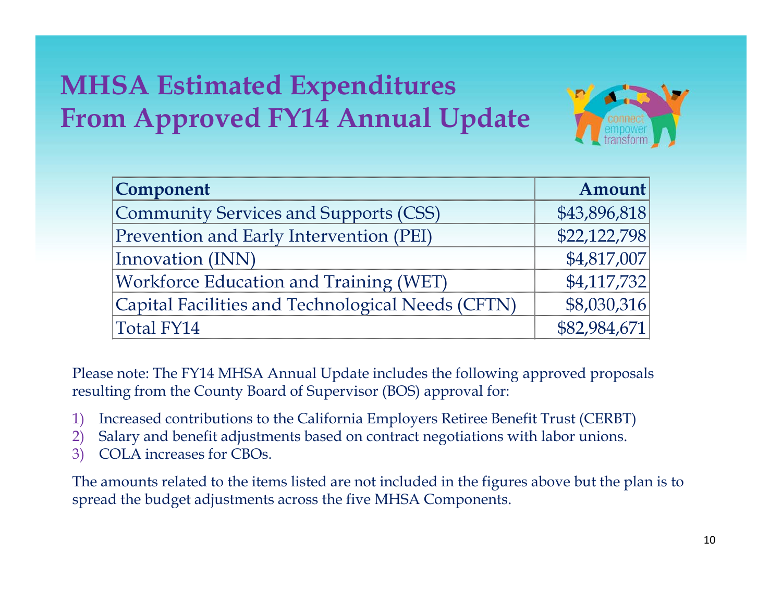#### **MHSA Estimated Expenditures From Approved FY14 Annual Update**



| <b>Component</b>                                  | Amount       |
|---------------------------------------------------|--------------|
| Community Services and Supports (CSS)             | \$43,896,818 |
| Prevention and Early Intervention (PEI)           | \$22,122,798 |
| Innovation (INN)                                  | \$4,817,007  |
| <b>Workforce Education and Training (WET)</b>     | \$4,117,732  |
| Capital Facilities and Technological Needs (CFTN) | \$8,030,316  |
| Total FY14                                        | \$82,984,671 |

Please note: The FY14 MHSA Annual Update includes the following approved proposals resulting from the County Board of Supervisor (BOS) approval for:

- 1) Increased contributions to the California Employers Retiree Benefit Trust (CERBT)
- 2) Salary and benefit adjustments based on contract negotiations with labor unions.
- 3) COLA increases for CBOs.

The amounts related to the items listed are not included in the figures above but the plan is to spread the bud get adjustments across the five MHSA Components.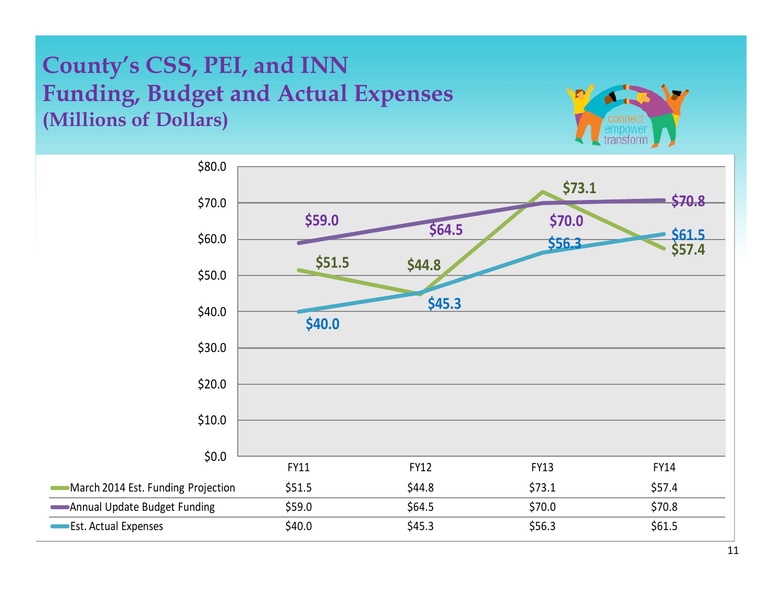#### **County's CSS, PEI, and INN Funding, Budget and Actual Expenses (Millions of Dollars)**



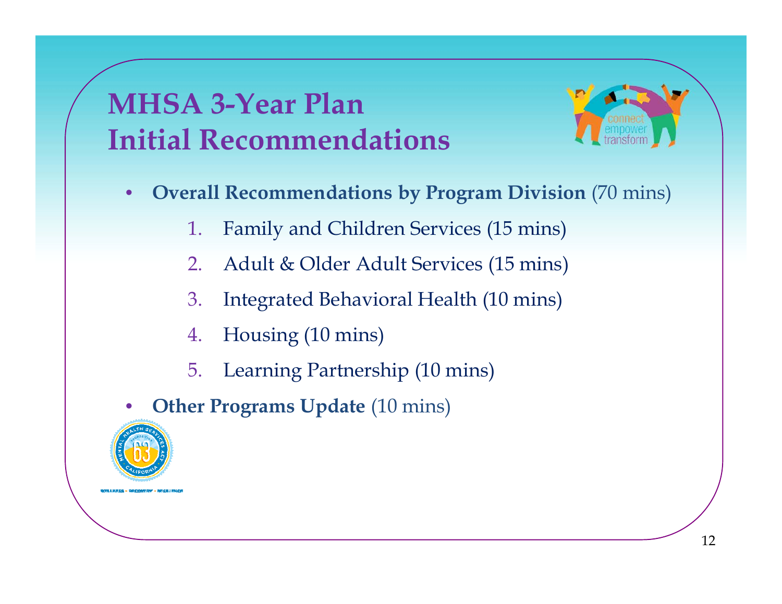### **MHSA 3-Year Plan Initial Recommendations**



- **Overall Recommendations by Program Division** (70 mins)<br>1. Family and Children Services (15 mins) •
	- Family and Children Services (15 mins)
	- 2.Adult & Older Adult Services (15 mins)
	- 3.Integrated Behavioral Health (10 mins)
	- 4.Housing (10 mins)
	- 5.Learning Partnership (10 mins)
- •**Other Programs Update (10 mins)**

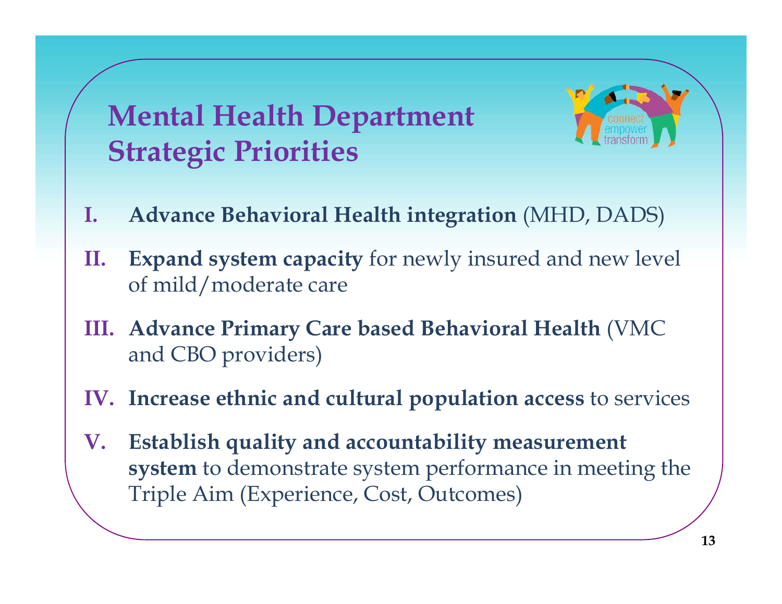$M$  **ental Health Department Strategic Priorities**

- **I. Advance Behavioral Health integration** (MHD, DADS)
- **II. Expand system capacity** for newly insured and new level of mild/moderate care
- **III. Advance Primar y Care based Behavioral Health**  (VMC and CBO providers)
- **IV. Increase ethnic and cultural population access** to services
- **V. Establish quality and accountability measurement system** to demonstrate system performance in meeting the Triple Aim (Experience, Cost, Outcomes)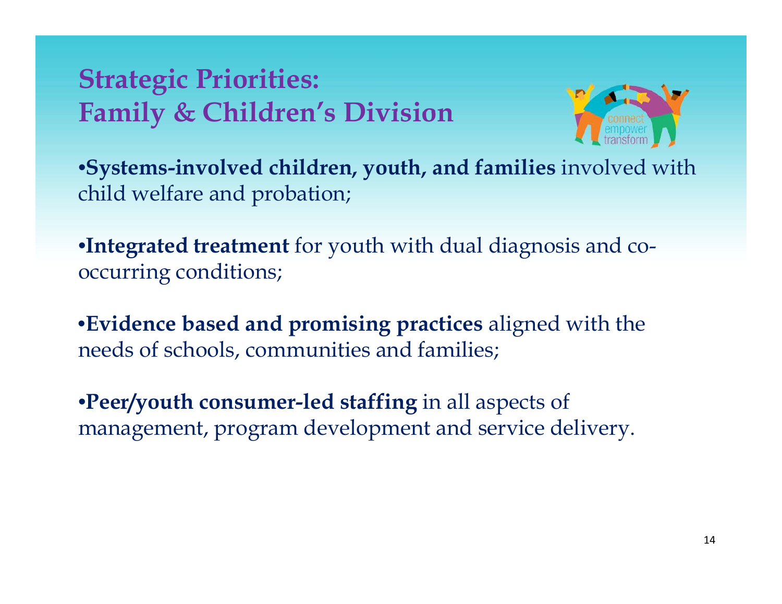#### **Strategic Priorities: Family & Children's Division**



•**Systems-involved children, youth, and families** involved with child welfare and probation;

•**Integrated treatment** for youth with dual diagnosis and cooccurring conditions;

•**Evidence based and promising practices** aligned with the needs of schools, communities and families;

•**Peer/youth consumer-led staffing** in all aspects of management, program development and service delivery.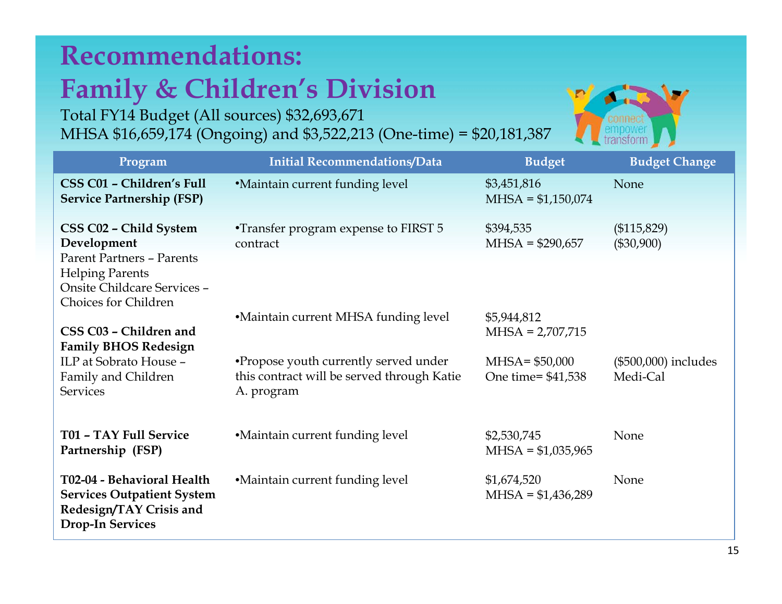#### **Recommendations: Family & Children's Division**

Total FY14 Budget (All sources) \$32,693,671 MHSA \$16,659,174 (Ongoing) and \$3,522,213 (One-time) = \$20,181,387



| Program                                                                                                               | <b>Initial Recommendations/Data</b>                                                               | <b>Budget</b>                          | <b>Budget Change</b>               |
|-----------------------------------------------------------------------------------------------------------------------|---------------------------------------------------------------------------------------------------|----------------------------------------|------------------------------------|
| CSS C01 - Children's Full<br><b>Service Partnership (FSP)</b>                                                         | <b>•Maintain current funding level</b>                                                            | \$3,451,816<br>$MHSA = $1,150,074$     | None                               |
| CSS C02 - Child System<br>Development<br><b>Parent Partners - Parents</b><br><b>Helping Parents</b>                   | •Transfer program expense to FIRST 5<br>contract                                                  | \$394,535<br>$MHSA = $290,657$         | (\$115,829)<br>$(\$30,900)$        |
| Onsite Childcare Services -<br><b>Choices for Children</b><br>CSS C03 - Children and                                  | •Maintain current MHSA funding level                                                              | \$5,944,812<br>$MHSA = 2,707,715$      |                                    |
| <b>Family BHOS Redesign</b><br>ILP at Sobrato House -<br>Family and Children<br><b>Services</b>                       | •Propose youth currently served under<br>this contract will be served through Katie<br>A. program | $MHSA = $50,000$<br>One time= \$41,538 | $(\$500,000)$ includes<br>Medi-Cal |
| T01 - TAY Full Service<br>Partnership (FSP)                                                                           | •Maintain current funding level                                                                   | \$2,530,745<br>$MHSA = $1,035,965$     | None                               |
| T02-04 - Behavioral Health<br><b>Services Outpatient System</b><br>Redesign/TAY Crisis and<br><b>Drop-In Services</b> | •Maintain current funding level                                                                   | \$1,674,520<br>$MHSA = $1,436,289$     | None                               |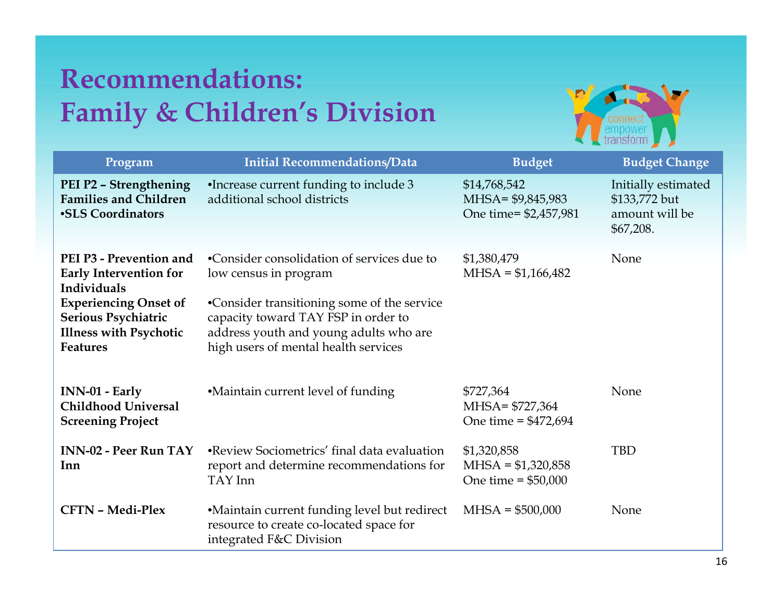#### **Recommendations: Family & Children's Division Children <sup>s</sup>**



| Program                                                                                                                                                                            | <b>Initial Recommendations/Data</b>                                                                                                                                                                                                         | <b>Budget</b>                                              | <b>Budget Change</b>                                                |
|------------------------------------------------------------------------------------------------------------------------------------------------------------------------------------|---------------------------------------------------------------------------------------------------------------------------------------------------------------------------------------------------------------------------------------------|------------------------------------------------------------|---------------------------------------------------------------------|
| PEI P2 - Strengthening<br><b>Families and Children</b><br>•SLS Coordinators                                                                                                        | •Increase current funding to include 3<br>additional school districts                                                                                                                                                                       | \$14,768,542<br>MHSA= \$9,845,983<br>One time= \$2,457,981 | Initially estimated<br>\$133,772 but<br>amount will be<br>\$67,208. |
| PEI P3 - Prevention and<br><b>Early Intervention for</b><br>Individuals<br><b>Experiencing Onset of</b><br>Serious Psychiatric<br><b>Illness with Psychotic</b><br><b>Features</b> | •Consider consolidation of services due to<br>low census in program<br>•Consider transitioning some of the service<br>capacity toward TAY FSP in order to<br>address youth and young adults who are<br>high users of mental health services | \$1,380,479<br>$MHSA = $1,166,482$                         | None                                                                |
| INN-01 - Early<br><b>Childhood Universal</b><br><b>Screening Project</b>                                                                                                           | •Maintain current level of funding                                                                                                                                                                                                          | \$727,364<br>MHSA= \$727,364<br>One time = $$472,694$      | None                                                                |
| <b>INN-02 - Peer Run TAY</b><br>Inn                                                                                                                                                | •Review Sociometrics' final data evaluation<br>report and determine recommendations for<br>TAY Inn                                                                                                                                          | \$1,320,858<br>$MHSA = $1,320,858$<br>One time = $$50,000$ | <b>TBD</b>                                                          |
| <b>CFTN - Medi-Plex</b>                                                                                                                                                            | •Maintain current funding level but redirect<br>resource to create co-located space for<br>integrated F&C Division                                                                                                                          | $MHSA = $500,000$                                          | None                                                                |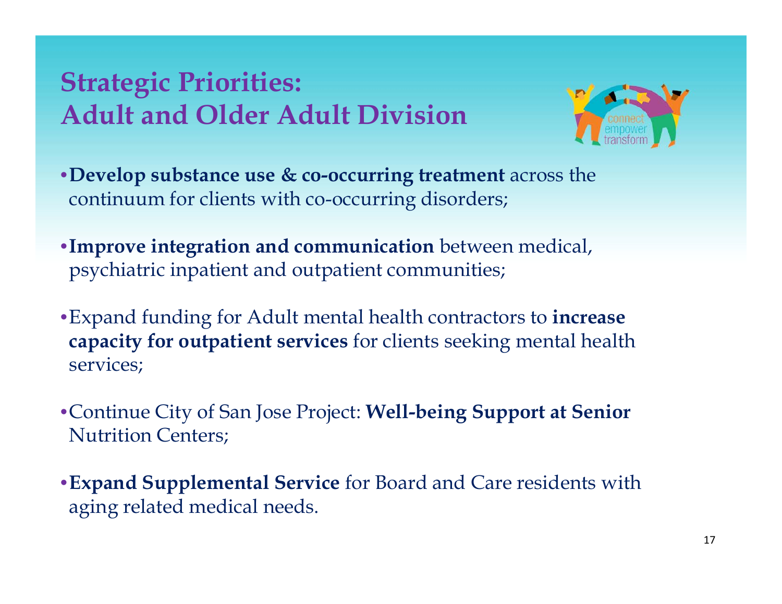#### **Strategic Priorities: Adult and Older Adult Division**



- •**Develop substance use & co-occurring treatment** across the continuum for clients with co-occurring disorders;
- •**Improve integration and communication** between medical, psychiatric inpatient and outpatient communities;
- •Expand funding for Adult mental health contractors to **increase capacity for outpatient services** for clients seeking mental health services;
- •Continue City of San Jose Project: **Well-being Support at Senior**  Nutrition Centers;
- •**Expand Supplemental Service** for Board and Care residents with **p pp** aging related medical needs.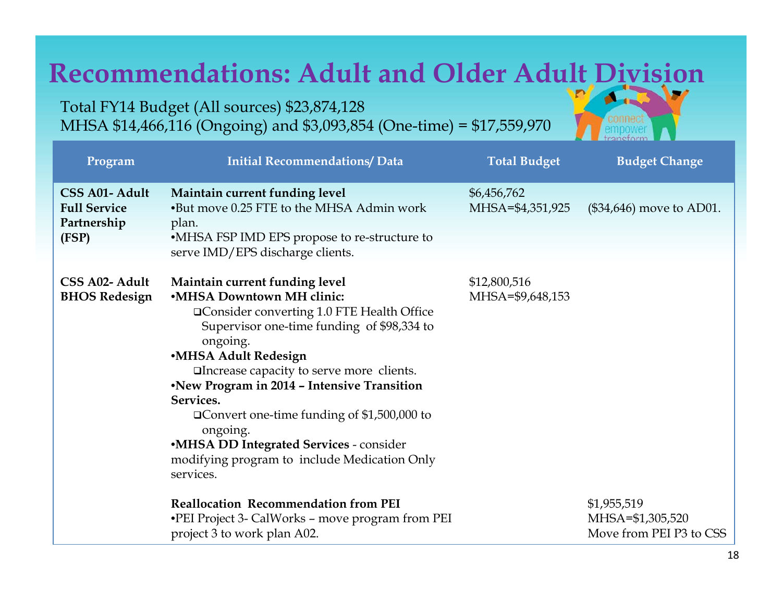#### **Recommendations: Adult and Older Adult Division ALL**

Total FY14 Budget (All sources) \$23,874,128 MHSA \$14,466,116 (Ongoing) and \$3,093,854 (One-time) = \$17,559,970

| Program                                                       | <b>Initial Recommendations/ Data</b>                                                                                                                                                                                                                                                                                                                                                                                                                                                    | <b>Total Budget</b>              | <b>Budget Change</b>                                       |
|---------------------------------------------------------------|-----------------------------------------------------------------------------------------------------------------------------------------------------------------------------------------------------------------------------------------------------------------------------------------------------------------------------------------------------------------------------------------------------------------------------------------------------------------------------------------|----------------------------------|------------------------------------------------------------|
| CSS A01- Adult<br><b>Full Service</b><br>Partnership<br>(FSP) | Maintain current funding level<br>•But move 0.25 FTE to the MHSA Admin work<br>plan.<br>•MHSA FSP IMD EPS propose to re-structure to<br>serve IMD/EPS discharge clients.                                                                                                                                                                                                                                                                                                                | \$6,456,762<br>MHSA=\$4,351,925  | (\$34,646) move to AD01.                                   |
| CSS A02- Adult<br><b>BHOS Redesign</b>                        | Maintain current funding level<br>•MHSA Downtown MH clinic:<br>□ Consider converting 1.0 FTE Health Office<br>Supervisor one-time funding of \$98,334 to<br>ongoing.<br>·MHSA Adult Redesign<br>□Increase capacity to serve more clients.<br>•New Program in 2014 - Intensive Transition<br>Services.<br><b>□ Convert one-time funding of \$1,500,000 to</b><br>ongoing.<br><b>•MHSA DD Integrated Services - consider</b><br>modifying program to include Medication Only<br>services. | \$12,800,516<br>MHSA=\$9,648,153 |                                                            |
|                                                               | <b>Reallocation Recommendation from PEI</b><br>•PEI Project 3- CalWorks - move program from PEI<br>project 3 to work plan A02.                                                                                                                                                                                                                                                                                                                                                          |                                  | \$1,955,519<br>MHSA=\$1,305,520<br>Move from PEI P3 to CSS |

aneform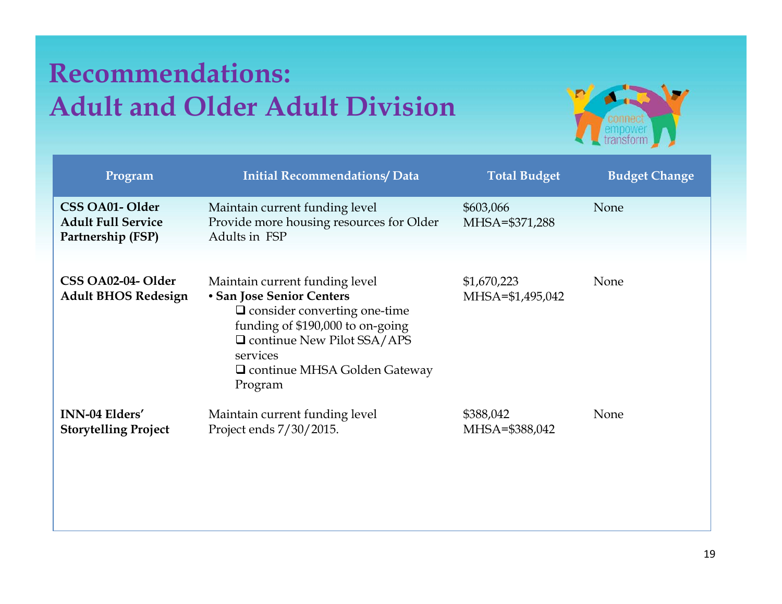#### **Recommendations: Adult and Older Adult Division**



| Program                                                          | <b>Initial Recommendations/ Data</b>                                                                                                                                                                                                 | <b>Total Budget</b>             | <b>Budget Change</b> |
|------------------------------------------------------------------|--------------------------------------------------------------------------------------------------------------------------------------------------------------------------------------------------------------------------------------|---------------------------------|----------------------|
| CSS OA01-Older<br><b>Adult Full Service</b><br>Partnership (FSP) | Maintain current funding level<br>Provide more housing resources for Older<br>Adults in FSP                                                                                                                                          | \$603,066<br>MHSA=\$371,288     | None                 |
| CSS OA02-04- Older<br><b>Adult BHOS Redesign</b>                 | Maintain current funding level<br>• San Jose Senior Centers<br>$\Box$ consider converting one-time<br>funding of \$190,000 to on-going<br>Q continue New Pilot SSA/APS<br>services<br>$\Box$ continue MHSA Golden Gateway<br>Program | \$1,670,223<br>MHSA=\$1,495,042 | None                 |
| <b>INN-04 Elders'</b><br><b>Storytelling Project</b>             | Maintain current funding level<br>Project ends 7/30/2015.                                                                                                                                                                            | \$388,042<br>MHSA=\$388,042     | None                 |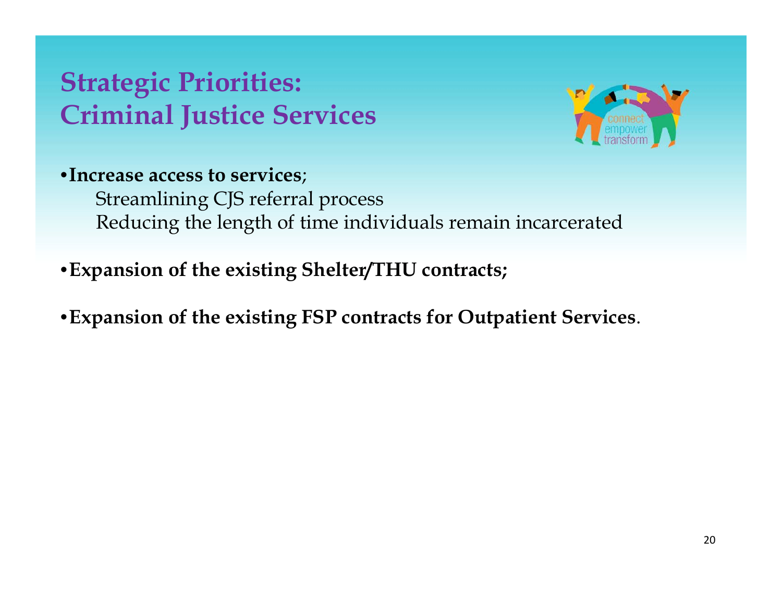#### **Strategic Priorities: Criminal Justice Ser ices Services**



•**Increase access to services**; Streamlining CJS referral process Reducing the length of time individuals remain incarcerated

- •**<sup>E</sup> i f h i i Sh l /THU Expansion of the existing Shelter/THU contracts;**
- •**Expansion of the existing FSP contracts for Outpatient Services**.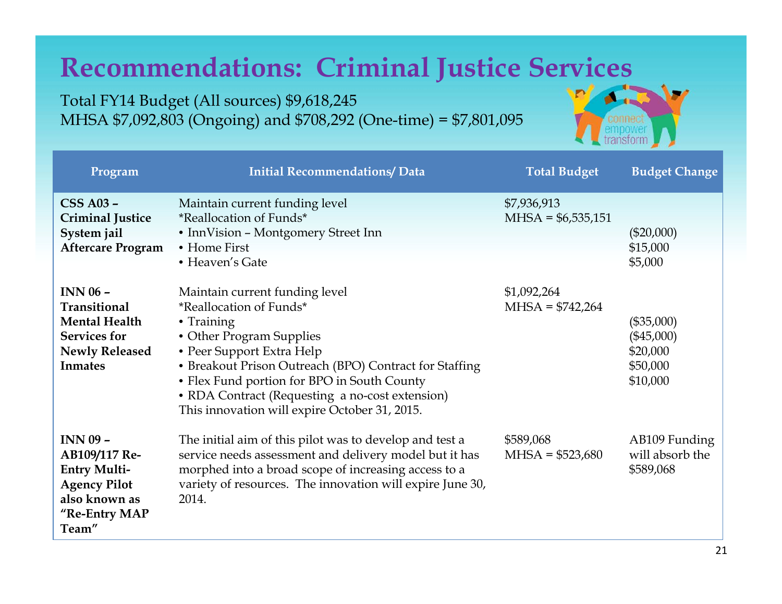#### **Recommendations: Criminal Justice Services**

Total FY14 Budget (All sources) \$9,618,245 MHSA \$7,092,803 (On goin g) and \$708,292 (One-time) = \$7,801,095

| Program                                                                                                                   | <b>Initial Recommendations/ Data</b>                                                                                                                                                                                                                                                                                                          | <b>Total Budget</b>                | <b>Budget Change</b>                                             |
|---------------------------------------------------------------------------------------------------------------------------|-----------------------------------------------------------------------------------------------------------------------------------------------------------------------------------------------------------------------------------------------------------------------------------------------------------------------------------------------|------------------------------------|------------------------------------------------------------------|
| <b>CSS A03 -</b><br><b>Criminal Justice</b><br>System jail<br><b>Aftercare Program</b>                                    | Maintain current funding level<br><i>*Reallocation of Funds*</i><br>• InnVision - Montgomery Street Inn<br>• Home First<br>• Heaven's Gate                                                                                                                                                                                                    | \$7,936,913<br>$MHSA = $6,535,151$ | $(\$20,000)$<br>\$15,000<br>\$5,000                              |
| $INN$ 06 $-$<br>Transitional<br><b>Mental Health</b><br><b>Services for</b><br><b>Newly Released</b><br><b>Inmates</b>    | Maintain current funding level<br>*Reallocation of Funds*<br>• Training<br>• Other Program Supplies<br>• Peer Support Extra Help<br>• Breakout Prison Outreach (BPO) Contract for Staffing<br>• Flex Fund portion for BPO in South County<br>• RDA Contract (Requesting a no-cost extension)<br>This innovation will expire October 31, 2015. | \$1,092,264<br>$MHSA = $742,264$   | $(\$35,000)$<br>$(\$45,000)$<br>\$20,000<br>\$50,000<br>\$10,000 |
| <b>INN 09 -</b><br>AB109/117 Re-<br><b>Entry Multi-</b><br><b>Agency Pilot</b><br>also known as<br>"Re-Entry MAP<br>Team" | The initial aim of this pilot was to develop and test a<br>service needs assessment and delivery model but it has<br>morphed into a broad scope of increasing access to a<br>variety of resources. The innovation will expire June 30,<br>2014.                                                                                               | \$589,068<br>$MHSA = $523,680$     | AB109 Funding<br>will absorb the<br>\$589,068                    |

d.

transform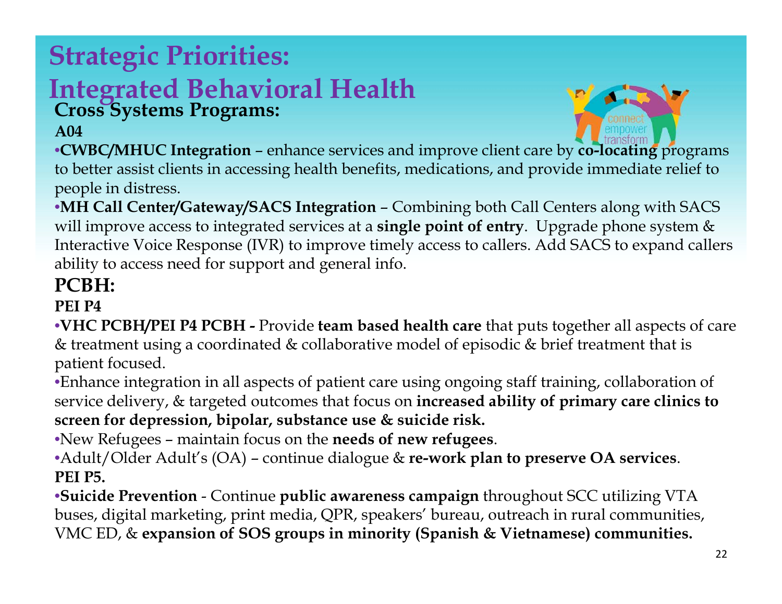#### **Strategic Priorities: Integrated Behavioral Health Cross Systems Programs: A04**

•**CWBC/MHUC Integration** – enhance services and improve client care by **co-locating** programs to better assist clients in accessing health benefits, medications, and provide immediate relief to people in distress.

•**MH Call Center/Gateway/SACS Integration** – Combining both Call Centers along with SACS will improve access to integrated services at a **single point of entry**. Upgrade phone system & Interactive Voice Response (IVR) to improve timely access to callers. Add SACS to expand callers ability to access need for support and general info.

#### **PCBH:**

#### **PEI P4**

•**VHC PCBH/PEI P4 PCBH -** Provide **team based health care** that puts together all aspects of care & treatment using a coordinated & collaborative model of episodic & brief treatment that is patient focused.

•Enhance integration in all aspects of patient care using ongoing staff training, collaboration of service delivery, & targeted outcomes that focus on **increased ability of primary care clinics to**  screen for depression, bipolar, substance use & suicide risk.

•New Refugees – maintain focus on the **needs of new refugees**.

•Adult/Older Adult's (OA) – continue dialogue & **re-work plan to preserve OA services**. **PEI P5.**

 $\bullet$ Suicide Prevention - Continue public awareness campaign throughout SCC utilizing VTA buses, digital marketing, print media, QPR, speakers' bureau, outreach in rural communities, VMC ED, & **expansion of SOS groups in minority (Spanish & Vietnamese) communities.**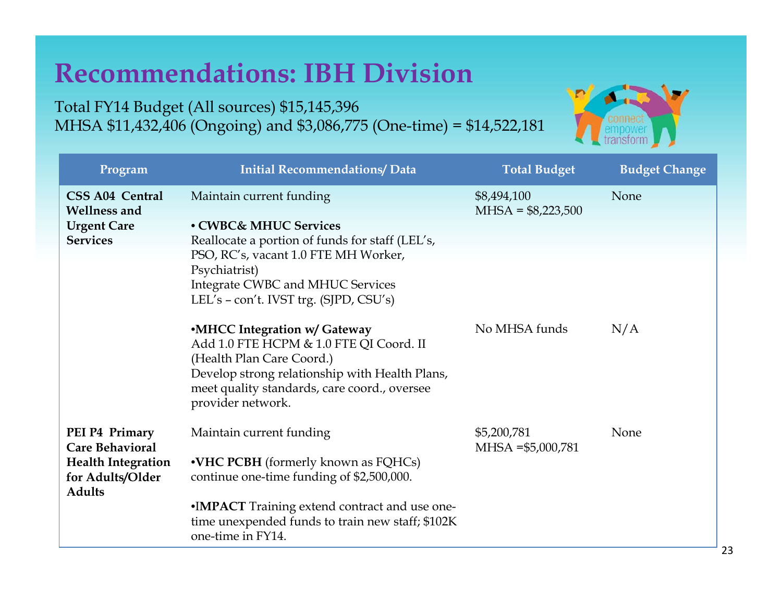#### **Recommendations: IBH Division**

Total FY14 Budget (All sources) \$15,145,396 MHSA \$11,432,406 (Ongoing) and \$3,086,775 (One-time) = \$14,522,181



| Program                                                                                                    | <b>Initial Recommendations/ Data</b>                                                                                                                                                                                        | <b>Total Budget</b>                | <b>Budget Change</b> |
|------------------------------------------------------------------------------------------------------------|-----------------------------------------------------------------------------------------------------------------------------------------------------------------------------------------------------------------------------|------------------------------------|----------------------|
| <b>CSS A04 Central</b><br><b>Wellness and</b>                                                              | Maintain current funding                                                                                                                                                                                                    | \$8,494,100<br>$MHSA = $8,223,500$ | None                 |
| <b>Urgent Care</b>                                                                                         | • CWBC& MHUC Services                                                                                                                                                                                                       |                                    |                      |
| <b>Services</b>                                                                                            | Reallocate a portion of funds for staff (LEL's,<br>PSO, RC's, vacant 1.0 FTE MH Worker,<br>Psychiatrist)<br><b>Integrate CWBC and MHUC Services</b><br>LEL's - con't. IVST trg. (SJPD, CSU's)                               |                                    |                      |
|                                                                                                            | •MHCC Integration w/ Gateway<br>Add 1.0 FTE HCPM & 1.0 FTE QI Coord. II<br>(Health Plan Care Coord.)<br>Develop strong relationship with Health Plans,<br>meet quality standards, care coord., oversee<br>provider network. | No MHSA funds                      | N/A                  |
| PEI P4 Primary<br><b>Care Behavioral</b><br><b>Health Integration</b><br>for Adults/Older<br><b>Adults</b> | Maintain current funding<br>•VHC PCBH (formerly known as FQHCs)<br>continue one-time funding of \$2,500,000.                                                                                                                | \$5,200,781<br>$MHSA = $5,000,781$ | None                 |
|                                                                                                            | •IMPACT Training extend contract and use one-<br>time unexpended funds to train new staff; \$102K<br>one-time in FY14.                                                                                                      |                                    |                      |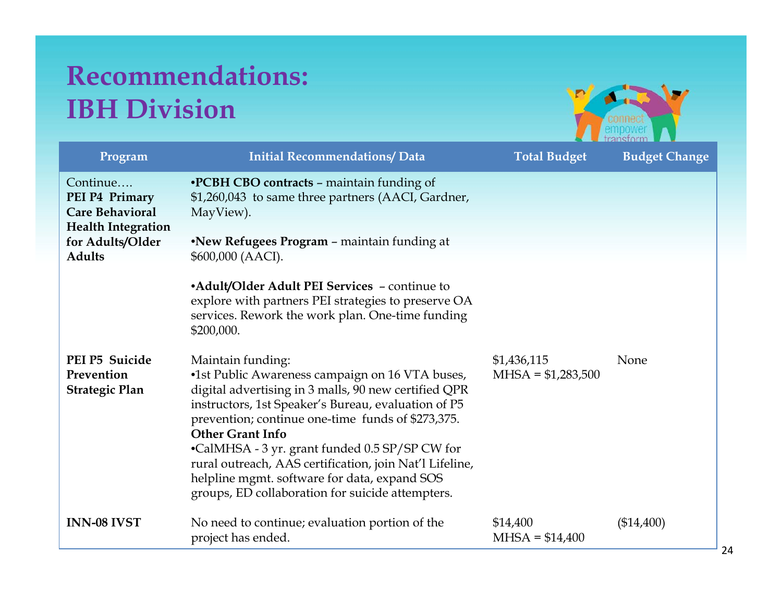#### **Recommendations: IBH Division**



| Program                                                                                               | <b>Initial Recommendations/ Data</b>                                                                                                                                                                                                                                                                                                                                                                                                                            | <b>Total Budget</b>          | <b>Budget Change</b> |
|-------------------------------------------------------------------------------------------------------|-----------------------------------------------------------------------------------------------------------------------------------------------------------------------------------------------------------------------------------------------------------------------------------------------------------------------------------------------------------------------------------------------------------------------------------------------------------------|------------------------------|----------------------|
| Continue<br>PEI P4 Primary<br><b>Care Behavioral</b><br><b>Health Integration</b><br>for Adults/Older | <b>•PCBH CBO contracts - maintain funding of</b><br>\$1,260,043 to same three partners (AACI, Gardner,<br>MayView).<br><b>•New Refugees Program – maintain funding at</b>                                                                                                                                                                                                                                                                                       |                              |                      |
| <b>Adults</b><br>PEI P5 Suicide                                                                       | \$600,000 (AACI).<br>• Adult/Older Adult PEI Services - continue to<br>explore with partners PEI strategies to preserve OA<br>services. Rework the work plan. One-time funding<br>\$200,000.<br>Maintain funding:                                                                                                                                                                                                                                               | \$1,436,115                  | None                 |
| Prevention<br><b>Strategic Plan</b>                                                                   | •1st Public Awareness campaign on 16 VTA buses,<br>digital advertising in 3 malls, 90 new certified QPR<br>instructors, 1st Speaker's Bureau, evaluation of P5<br>prevention; continue one-time funds of \$273,375.<br><b>Other Grant Info</b><br>•CalMHSA - 3 yr. grant funded 0.5 SP/SP CW for<br>rural outreach, AAS certification, join Nat'l Lifeline,<br>helpline mgmt. software for data, expand SOS<br>groups, ED collaboration for suicide attempters. | $MHSA = $1,283,500$          |                      |
| <b>INN-08 IVST</b>                                                                                    | No need to continue; evaluation portion of the<br>project has ended.                                                                                                                                                                                                                                                                                                                                                                                            | \$14,400<br>$MHSA = $14,400$ | (\$14,400)           |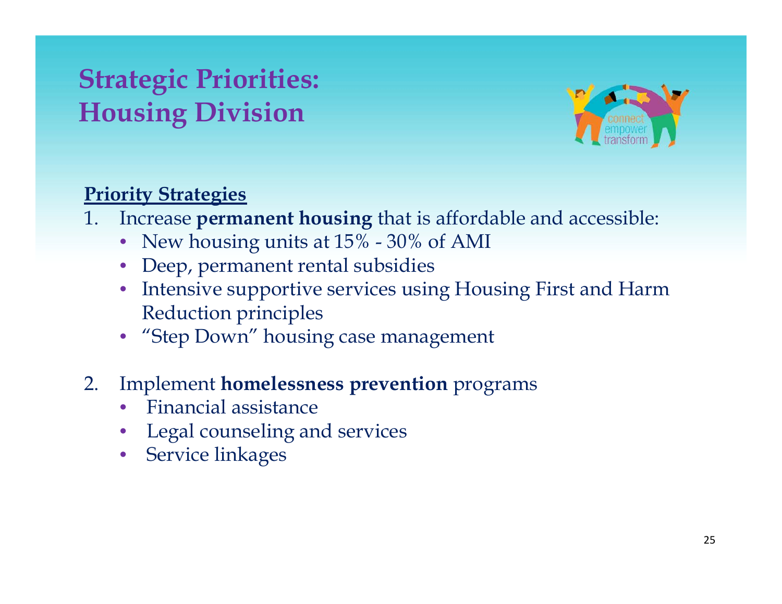#### **Strategic Priorities: Housing Division**



#### **Pi i S i Priority Strategies**

- 1. Increase **permanent housing** that is affordable and accessible:
	- New housing units at 15% 30% of AMI
	- Deep, permanent rental subsidies
	- Intensive supportive services using Housing First and Harm Reduction principles
	- "Step  $\mathop{\rm Down^{\prime\prime}}$  housing case management
- 2. Implement **homelessness prevention** programs
	- •Financial assistance
	- Legal counseling and services
	- Service linkages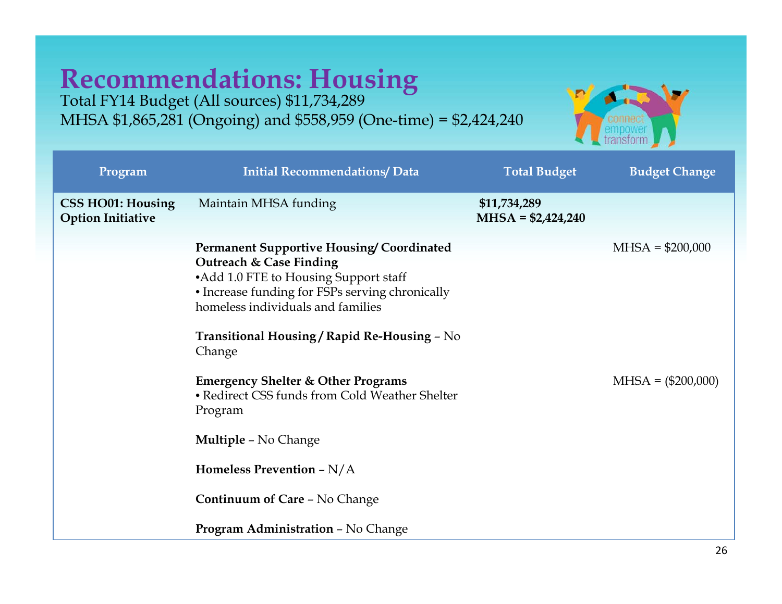# **Recommendations: Housing** Total FY14 Budget (All sources) \$11,734,289

MHSA \$1,865,281 (On goin g) and \$558,959 (One-time) = \$2,424,240



| Program                                              | <b>Initial Recommendations/ Data</b>                                                                                                                                                                                                                                  | <b>Total Budget</b>                 | <b>Budget Change</b> |
|------------------------------------------------------|-----------------------------------------------------------------------------------------------------------------------------------------------------------------------------------------------------------------------------------------------------------------------|-------------------------------------|----------------------|
| <b>CSS HO01: Housing</b><br><b>Option Initiative</b> | Maintain MHSA funding                                                                                                                                                                                                                                                 | \$11,734,289<br>$MHSA = $2,424,240$ |                      |
|                                                      | <b>Permanent Supportive Housing/Coordinated</b><br>Outreach & Case Finding<br>•Add 1.0 FTE to Housing Support staff<br>• Increase funding for FSPs serving chronically<br>homeless individuals and families<br>Transitional Housing / Rapid Re-Housing - No<br>Change |                                     | $MHSA = $200,000$    |
|                                                      | <b>Emergency Shelter &amp; Other Programs</b><br>• Redirect CSS funds from Cold Weather Shelter<br>Program                                                                                                                                                            |                                     | $MHSA = (\$200,000)$ |
|                                                      | <b>Multiple - No Change</b>                                                                                                                                                                                                                                           |                                     |                      |
|                                                      | Homeless Prevention $-N/A$                                                                                                                                                                                                                                            |                                     |                      |
|                                                      | <b>Continuum of Care - No Change</b>                                                                                                                                                                                                                                  |                                     |                      |
|                                                      | <b>Program Administration - No Change</b>                                                                                                                                                                                                                             |                                     |                      |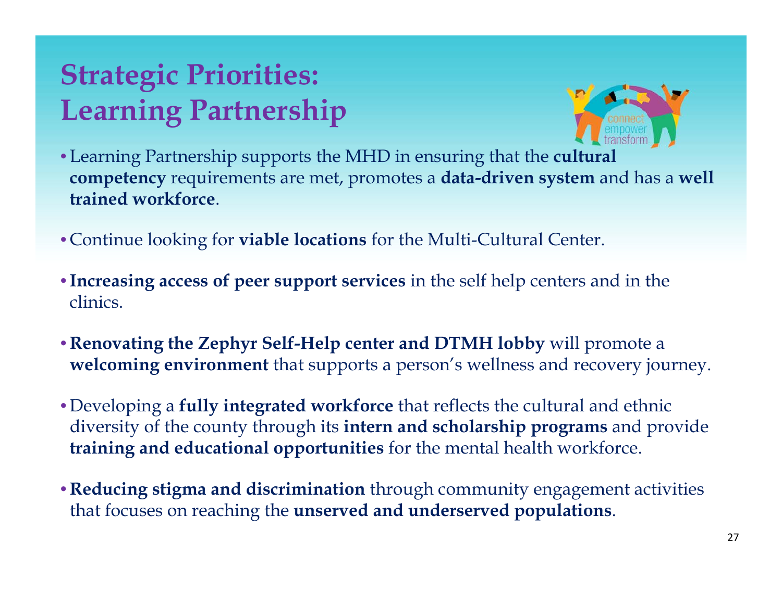### **Strategic Priorities: Learning Partnership**



- Learning Partnership supports the MHD in ensuring that the **cultural competency** requirements are met, promotes a **data-driven system** and has a well **trained workforce**.
- Continue looking for **viable locations** for the Multi-Cultural Center.
- •**Increasing access of peer support services** in the self help centers and in the clinics.
- $\bullet$  Renovating the Zephyr Self-Help center and DTMH lobby will promote a **welcoming environment** that supports a person's wellness and recovery journey.
- Developing a **fully integrated workforce** that reflects the cultural and ethnic diversity of the county through its **intern and scholarship programs** and provide **training and educational opportunities** for the mental health workforce.
- **Reducing stigma and discrimination** through community engagement activities that focuses on reaching the **unserved and underserved populations**.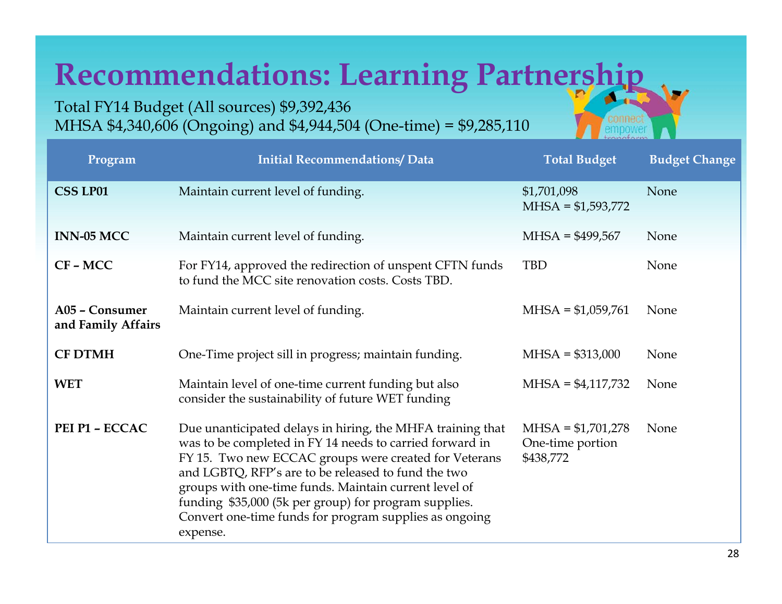# **Recommendations: Learning Partnership**

Total FY14 Budget (All sources) \$9,392,436 MHSA \$4,340,606 (Ongoing) and \$4,944,504 (One-time) = \$9,285,110

| Program                              | <b>Initial Recommendations/ Data</b>                                                                                                                                                                                                                                                                                                                                                                                           | <b>Total Budget</b>                                  | <b>Budget Change</b> |
|--------------------------------------|--------------------------------------------------------------------------------------------------------------------------------------------------------------------------------------------------------------------------------------------------------------------------------------------------------------------------------------------------------------------------------------------------------------------------------|------------------------------------------------------|----------------------|
| <b>CSS LP01</b>                      | Maintain current level of funding.                                                                                                                                                                                                                                                                                                                                                                                             | \$1,701,098<br>$MHSA = $1,593,772$                   | None                 |
| <b>INN-05 MCC</b>                    | Maintain current level of funding.                                                                                                                                                                                                                                                                                                                                                                                             | $MHSA = $499,567$                                    | None                 |
| $CF - MCC$                           | For FY14, approved the redirection of unspent CFTN funds<br>to fund the MCC site renovation costs. Costs TBD.                                                                                                                                                                                                                                                                                                                  | <b>TBD</b>                                           | None                 |
| A05 - Consumer<br>and Family Affairs | Maintain current level of funding.                                                                                                                                                                                                                                                                                                                                                                                             | $MHSA = $1,059,761$                                  | None                 |
| <b>CF DTMH</b>                       | One-Time project sill in progress; maintain funding.                                                                                                                                                                                                                                                                                                                                                                           | $MHSA = $313,000$                                    | None                 |
| <b>WET</b>                           | Maintain level of one-time current funding but also<br>consider the sustainability of future WET funding                                                                                                                                                                                                                                                                                                                       | $MHSA = $4,117,732$                                  | None                 |
| PEI P1 - ECCAC                       | Due unanticipated delays in hiring, the MHFA training that<br>was to be completed in FY 14 needs to carried forward in<br>FY 15. Two new ECCAC groups were created for Veterans<br>and LGBTQ, RFP's are to be released to fund the two<br>groups with one-time funds. Maintain current level of<br>funding \$35,000 (5k per group) for program supplies.<br>Convert one-time funds for program supplies as ongoing<br>expense. | $MHSA = $1,701,278$<br>One-time portion<br>\$438,772 | None                 |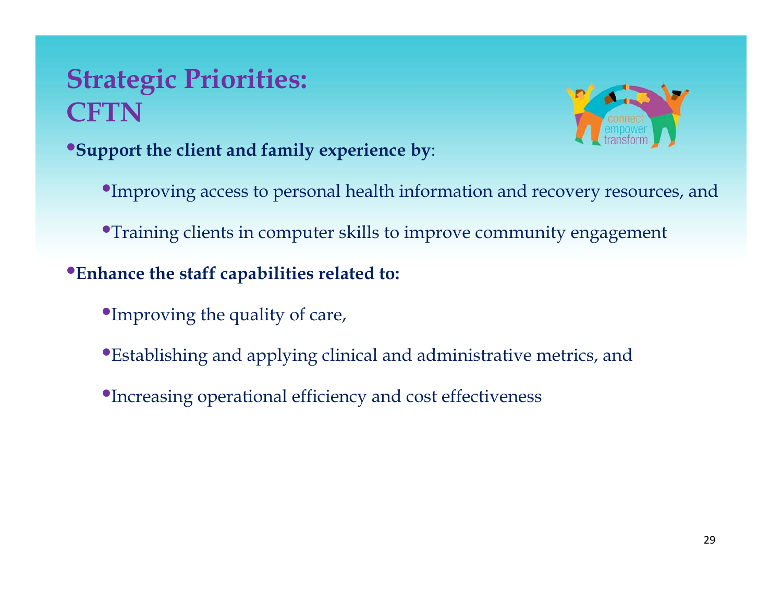#### **Strategic Priorities: CFTN**



•**Support the client and family experience by**:

•Improving access to personal health information and recovery resources, and

•Training clients in computer skills to improve community engagement

#### •**Enhance the staff capabilities related to:**

- •Improving the quality of care,
- •Establishing and applying clinical and administrative metrics, and
- •Increasing operational efficiency and cost effectiveness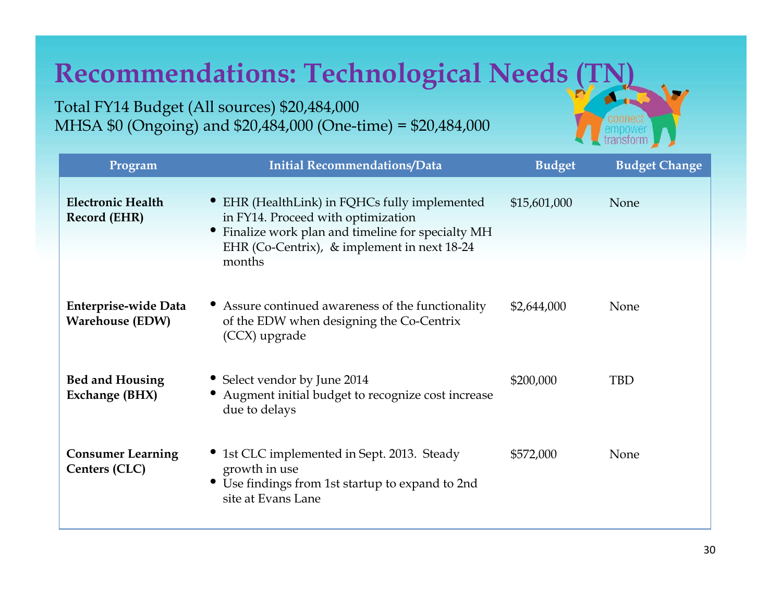#### **Recommendations: Technological Needs**

Total FY14 Budget (All sources) \$20,484,000 MHSA \$0 (Ongoing) and \$20,484,000 (One-time) = \$20,484,000

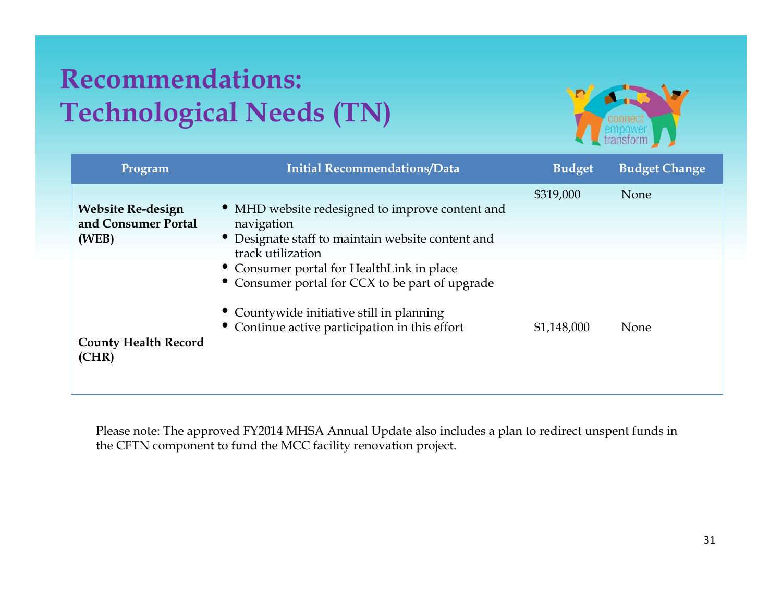#### **Recommendations: Technological Needs (TN)**



| <b>Initial Recommendations/Data</b>             | <b>Budget</b>                                                                                                                                    | <b>Budget Change</b> |
|-------------------------------------------------|--------------------------------------------------------------------------------------------------------------------------------------------------|----------------------|
|                                                 | \$319,000                                                                                                                                        | None                 |
| • MHD website redesigned to improve content and |                                                                                                                                                  |                      |
| navigation                                      |                                                                                                                                                  |                      |
|                                                 |                                                                                                                                                  |                      |
| track utilization                               |                                                                                                                                                  |                      |
|                                                 |                                                                                                                                                  |                      |
| • Consumer portal for CCX to be part of upgrade |                                                                                                                                                  |                      |
| • Countywide initiative still in planning       |                                                                                                                                                  |                      |
|                                                 | \$1,148,000                                                                                                                                      | None                 |
|                                                 |                                                                                                                                                  |                      |
|                                                 | • Designate staff to maintain website content and<br>• Consumer portal for HealthLink in place<br>• Continue active participation in this effort |                      |

Please note: The approved FY2014 MHSA Annual Update also includes a plan to redirect unspent funds in the CFTN component to fund the MCC facility renovation project.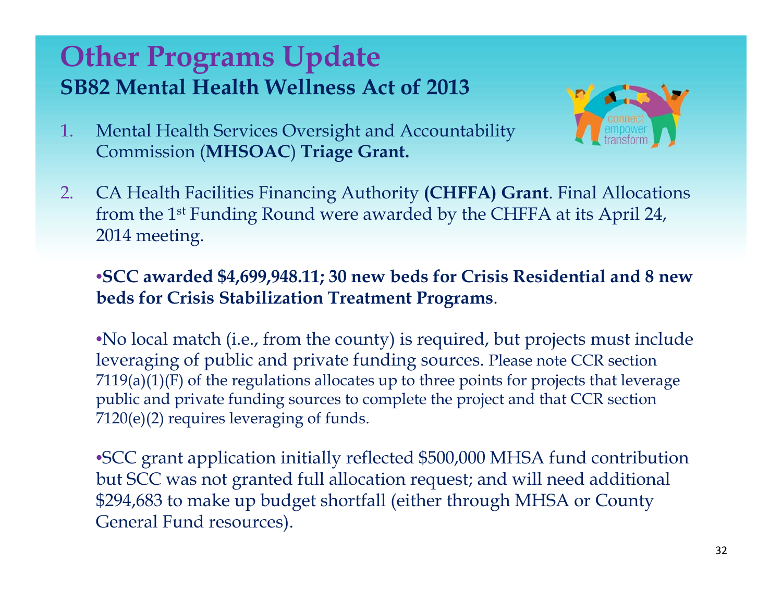#### **Other Programs Update SB82 Mental Health Wellness Act of 2013**



- 1. Mental Health Services Oversight and Accountability Commission (**MHSOAC**) **Triage Grant.**
- 2.. CA Health Facilities Financing Authority (CHFFA) Grant. Final Allocations from the 1st Funding Round were awarded by the CHFFA at its April 24, 2014 meeting.

#### •**SCC awarded \$4,699,948.11; 30 new beds for Crisis Residential and 8 new beds for Crisis Stabilization Treatment Programs**.

•No local match (i.e., from the county) is required, but projects must include leveraging of public and private funding sources. Please note CCR section  $7119(a)(1)(F)$  of the regulations allocates up to three points for projects that leverage public and private funding sources to complete the project and that CCR section  $7120 (e) (2)$  requires leveraging of funds.

•SCC grant application initially reflected \$500,000 MHSA fund contribution but SCC was not granted full allocation request; and will need additional \$294,683 to make up budget shortfall (either through MHSA or County General Fund resources).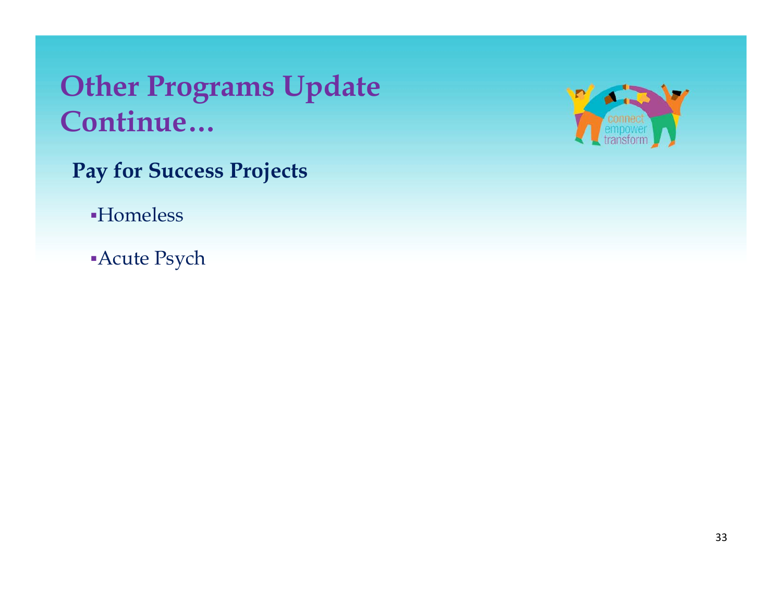#### **Other Programs Update C i ont inue…**

- **Pay for Success Projects**
	- Homeless
	- Acute Psych

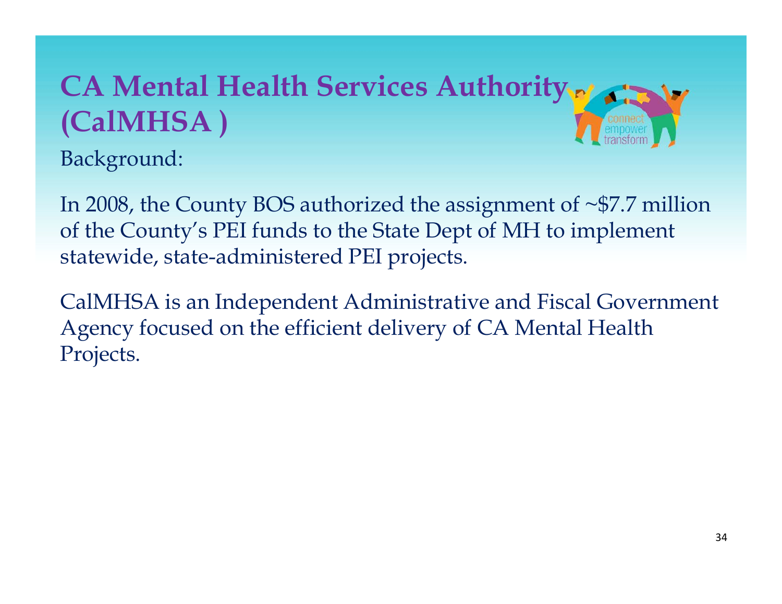# **CA Mental Health Services Authority (C lMHSA ) alMHSA**

Background:

In 2008, the County BOS authorized the assignment of  $\sim$ \$7.7 million of the County's PEI funds to the State Dept of MH to implement statewide, state-administered PEI projects.

CalMHSA is an Independent Administrative and Fiscal Government Agency focused on the efficient delivery of CA Mental Health Projects.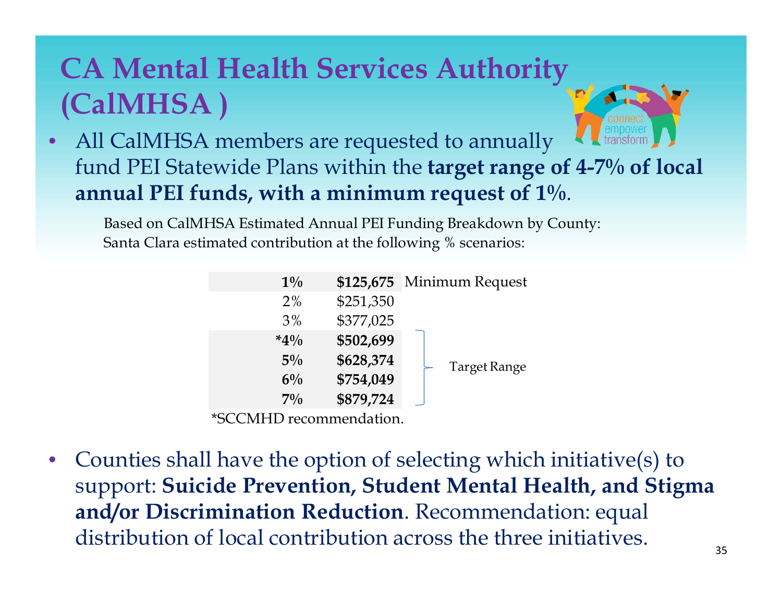### **CA Mental Health Services Authority (CalMHSA )**



• All CalMHSA members are requested to annually fund PEI Statewide Plans within the **target range of 4-7% of local annual PEI funds, with a minimum request of 1%.** 

Based on CalMHSA Estimated Annual PEI Funding Breakdown by County: Santa Clara estimated contribution at the following % scenarios:

| $1\%$  |           | \$125,675 Minimum Request |
|--------|-----------|---------------------------|
| $2\%$  | \$251,350 |                           |
| 3%     | \$377,025 |                           |
| $*4\%$ | \$502,699 |                           |
| $5\%$  | \$628,374 | Target Range              |
| $6\%$  | \$754,049 |                           |
| $7\%$  | \$879,724 |                           |

\*SCCMHD recommendation.

• Counties shall have the option of selecting which initiative(s) to support: **Suicide Prevention, Student Mental Health, and Stigma and/or Discrimination Reduction**. Recommendation: equal distribution of local contribution across the three initiatives.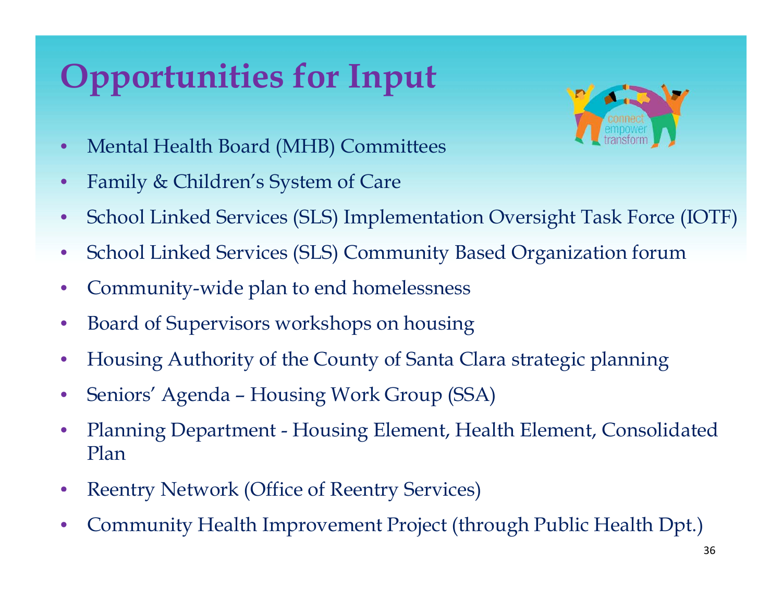# **Opportunities for Input**



- •Mental Health Board (MHB) Committees
- •Family & Children's System of Care
- $\bullet$ School Linked Services (SLS) Implementation Oversight Task Force (IOTF)
- $\bullet$ • School Linked Services (SLS) Community Based Organization forum
- $\bullet$ Community-wide plan to end homelessness
- $\bullet$ Board of Supervisors workshops on housing
- $\bullet$ Housing Authority of the County of Santa Clara strategic planning
- •Seniors' Agenda – Housing Work Group (SSA)
- • Planning Department - Housing Element, Health Element, Consolidated Plan
- $\bullet$ Reentry Network (Office of Reentry Services)
- •Community Health Improvement Project (through Public Health Dpt.)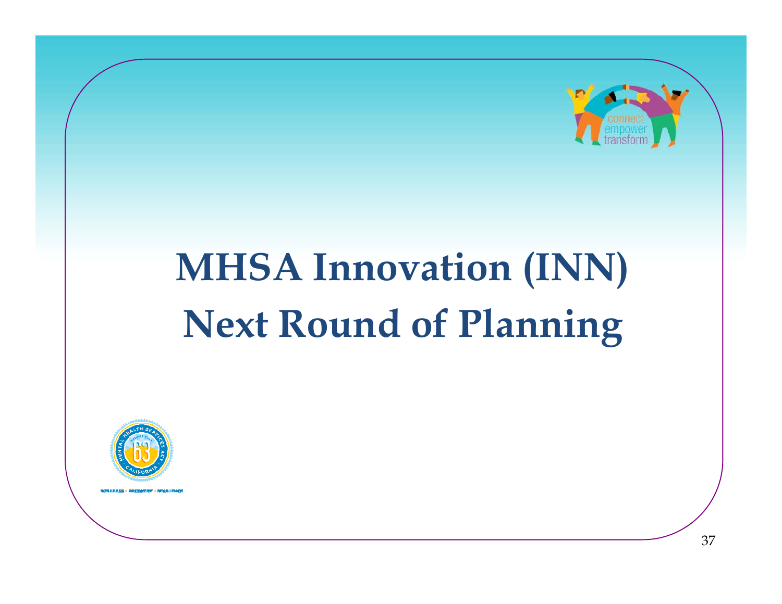

#### **MHSA Innovation (INN) Next Round of Plannin g**

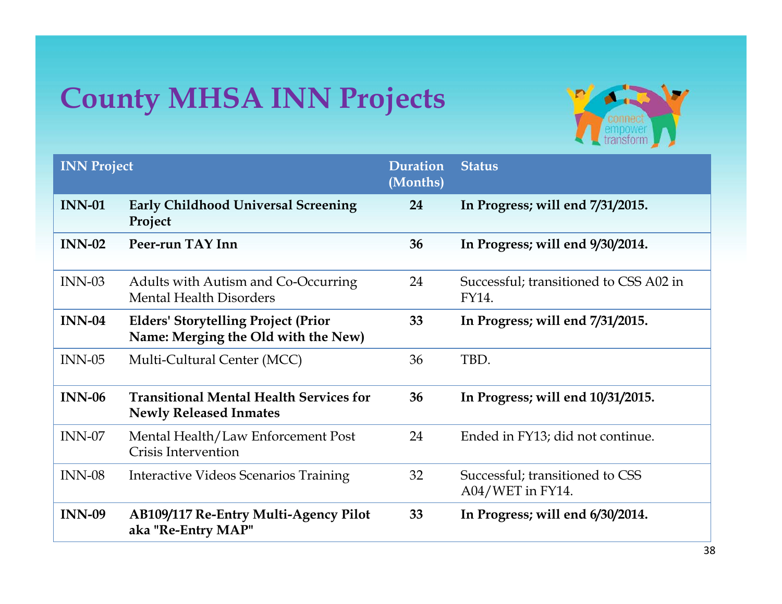### **County MHSA INN Projects**



| <b>INN Project</b> |                                                                                   | Duration<br>(Months) | <b>Status</b>                                       |
|--------------------|-----------------------------------------------------------------------------------|----------------------|-----------------------------------------------------|
| <b>INN-01</b>      | <b>Early Childhood Universal Screening</b><br>Project                             | 24                   | In Progress; will end 7/31/2015.                    |
| <b>INN-02</b>      | Peer-run TAY Inn                                                                  | 36                   | In Progress; will end $9/30/2014$ .                 |
| $INN-03$           | Adults with Autism and Co-Occurring<br><b>Mental Health Disorders</b>             | 24                   | Successful; transitioned to CSS A02 in<br>FY14.     |
| <b>INN-04</b>      | <b>Elders' Storytelling Project (Prior</b><br>Name: Merging the Old with the New) | 33                   | In Progress; will end 7/31/2015.                    |
| $INN-05$           | Multi-Cultural Center (MCC)                                                       | 36                   | TBD.                                                |
| $INN-06$           | <b>Transitional Mental Health Services for</b><br><b>Newly Released Inmates</b>   | 36                   | In Progress; will end 10/31/2015.                   |
| $INN-07$           | Mental Health/Law Enforcement Post<br>Crisis Intervention                         | 24                   | Ended in FY13; did not continue.                    |
| <b>INN-08</b>      | Interactive Videos Scenarios Training                                             | 32                   | Successful; transitioned to CSS<br>A04/WET in FY14. |
| <b>INN-09</b>      | AB109/117 Re-Entry Multi-Agency Pilot<br>aka "Re-Entry MAP"                       | 33                   | In Progress; will end 6/30/2014.                    |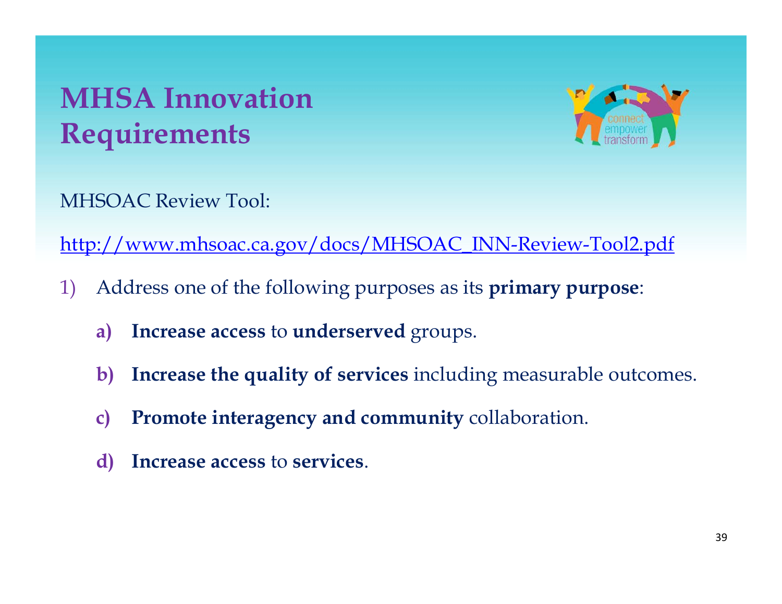### **MHSA InnovationRequirements**



MHSOAC Review Tool:

http://www.mhsoac.ca.gov/docs/MHSOAC\_INN-Review-Tool2.pdf

- 1) Address one of the following purposes as its **primary purpose**:
	- a) Increase access to underserved groups.
	- **b) Increase the quality of services** including measurable outcomes.
	- **c) Promote interagency and community** collaboration.
	- **d) Increase access** to **services**.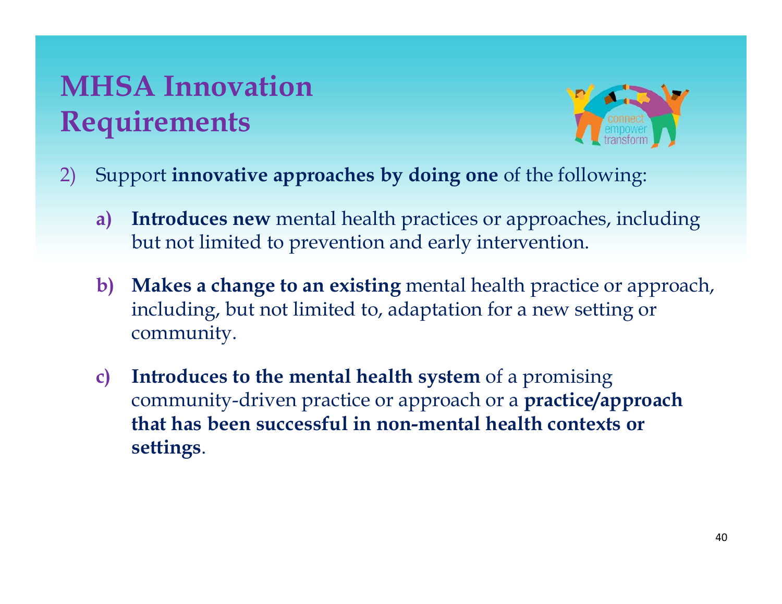### **MHSA InnovationR i equ rements**



- 2) Support **innovative approaches by doing one** of the following:
	- **a) Introduces new** mental health practices or approaches, including but not limited to prevention and early intervention.
	- **b) Makes a change to an existing** mental health practice or approach, including, but not limited to, adaptation for a new setting or community.
	- **c) Introduces to the mental health system** of a promising community-driven practice or approach or a **practice/approach that has been successful in non-mental health contexts or settings**.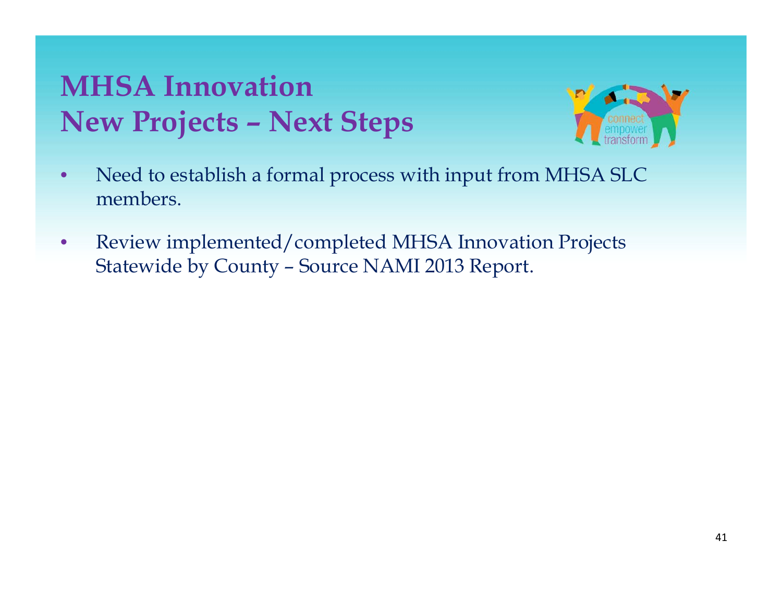#### **MHSA InnovationNew P j ro ects – Next Steps**



- $\bullet$  Need to establish a formal process with input from MHSA SLC members.
- $\bullet$  Review implemented/completed MHSA Innovation Projects Statewide by County – Source NAMI 2013 Report.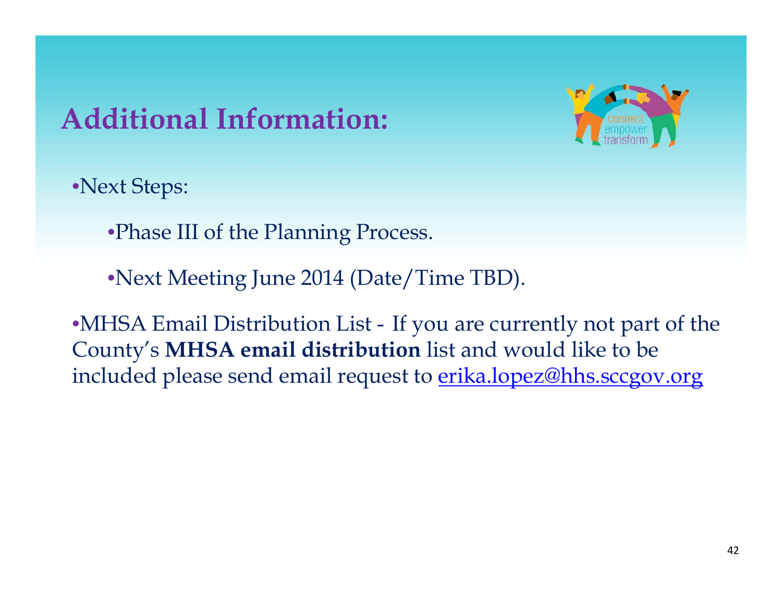### **Additi l I f ti Additional nformation:**



•Next Steps:

•Phase III of the Planning Process.

•Next Meeting June 2014 (Date/Time TBD).

•MHSA Email Distribution List - If you are currently not part of the County's **MHSA email distribution** list and would like to be included please send email request to erika.lopez@hhs.sccgov.org